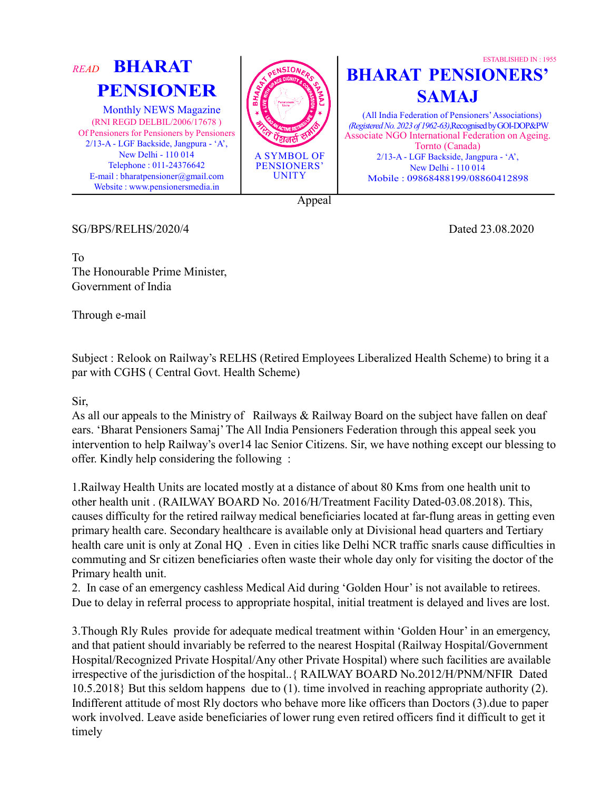

SG/BPS/RELHS/2020/4 Dated 23.08.2020

ESTABLISHED IN : 1955

To The Honourable Prime Minister, Government of India

Through e-mail

Subject : Relook on Railway's RELHS (Retired Employees Liberalized Health Scheme) to bring it a par with CGHS ( Central Govt. Health Scheme)

Sir,

As all our appeals to the Ministry of Railways & Railway Board on the subject have fallen on deaf ears. 'Bharat Pensioners Samaj' The All India Pensioners Federation through this appeal seek you intervention to help Railway's over14 lac Senior Citizens. Sir, we have nothing except our blessing to offer. Kindly help considering the following :

1.Railway Health Units are located mostly at a distance of about 80 Kms from one health unit to other health unit . (RAILWAY BOARD No. 2016/H/Treatment Facility Dated-03.08.2018). This, causes difficulty for the retired railway medical beneficiaries located at far-flung areas in getting even primary health care. Secondary healthcare is available only at Divisional head quarters and Tertiary health care unit is only at Zonal HQ . Even in cities like Delhi NCR traffic snarls cause difficulties in commuting and Sr citizen beneficiaries often waste their whole day only for visiting the doctor of the Primary health unit.

2. In case of an emergency cashless Medical Aid during 'Golden Hour' is not available to retirees. Due to delay in referral process to appropriate hospital, initial treatment is delayed and lives are lost.

3.Though Rly Rules provide for adequate medical treatment within 'Golden Hour' in an emergency, and that patient should invariably be referred to the nearest Hospital (Railway Hospital/Government Hospital/Recognized Private Hospital/Any other Private Hospital) where such facilities are available irrespective of the jurisdiction of the hospital..{ RAILWAY BOARD No.2012/H/PNM/NFIR Dated 10.5.2018} But this seldom happens due to (1). time involved in reaching appropriate authority (2). Indifferent attitude of most Rly doctors who behave more like officers than Doctors (3).due to paper work involved. Leave aside beneficiaries of lower rung even retired officers find it difficult to get it timely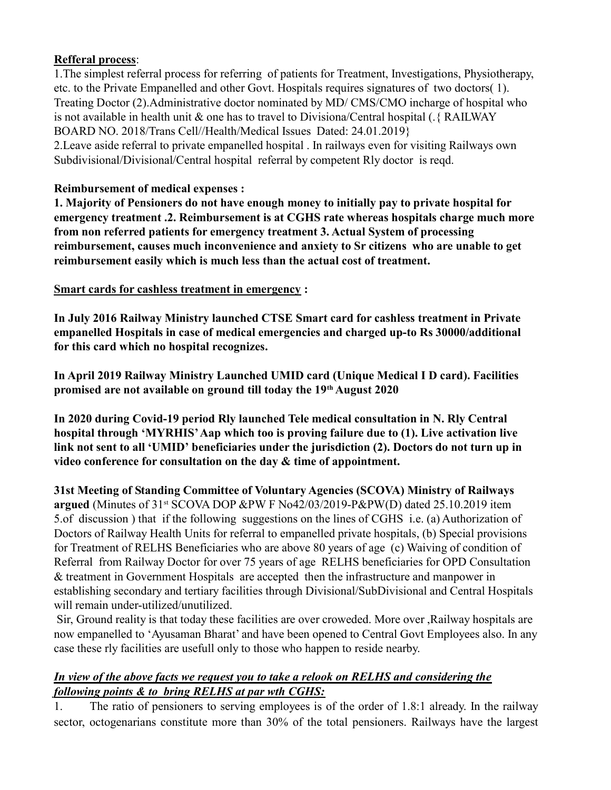## Refferal process:

1.The simplest referral process for referring of patients for Treatment, Investigations, Physiotherapy, etc. to the Private Empanelled and other Govt. Hospitals requires signatures of two doctors( 1). Treating Doctor (2).Administrative doctor nominated by MD/ CMS/CMO incharge of hospital who is not available in health unit & one has to travel to Divisiona/Central hospital (.{ RAILWAY BOARD NO. 2018/Trans Cell//Health/Medical Issues Dated: 24.01.2019} 2.Leave aside referral to private empanelled hospital . In railways even for visiting Railways own Subdivisional/Divisional/Central hospital referral by competent Rly doctor is reqd.

## Reimbursement of medical expenses :

1. Majority of Pensioners do not have enough money to initially pay to private hospital for emergency treatment .2. Reimbursement is at CGHS rate whereas hospitals charge much more from non referred patients for emergency treatment 3. Actual System of processing reimbursement, causes much inconvenience and anxiety to Sr citizens who are unable to get reimbursement easily which is much less than the actual cost of treatment.

Smart cards for cashless treatment in emergency :

In July 2016 Railway Ministry launched CTSE Smart card for cashless treatment in Private empanelled Hospitals in case of medical emergencies and charged up-to Rs 30000/additional for this card which no hospital recognizes.

In April 2019 Railway Ministry Launched UMID card (Unique Medical I D card). Facilities promised are not available on ground till today the 19th August 2020

In 2020 during Covid-19 period Rly launched Tele medical consultation in N. Rly Central hospital through 'MYRHIS' Aap which too is proving failure due to (1). Live activation live link not sent to all 'UMID' beneficiaries under the jurisdiction (2). Doctors do not turn up in video conference for consultation on the day & time of appointment.

31st Meeting of Standing Committee of Voluntary Agencies (SCOVA) Ministry of Railways argued (Minutes of 31st SCOVA DOP &PW F No42/03/2019-P&PW(D) dated 25.10.2019 item 5.of discussion ) that if the following suggestions on the lines of CGHS i.e. (a) Authorization of Doctors of Railway Health Units for referral to empanelled private hospitals, (b) Special provisions for Treatment of RELHS Beneficiaries who are above 80 years of age (c) Waiving of condition of Referral from Railway Doctor for over 75 years of age RELHS beneficiaries for OPD Consultation & treatment in Government Hospitals are accepted then the infrastructure and manpower in establishing secondary and tertiary facilities through Divisional/SubDivisional and Central Hospitals will remain under-utilized/unutilized.

 Sir, Ground reality is that today these facilities are over croweded. More over ,Railway hospitals are now empanelled to 'Ayusaman Bharat' and have been opened to Central Govt Employees also. In any case these rly facilities are usefull only to those who happen to reside nearby.

## In view of the above facts we request you to take a relook on RELHS and considering the following points & to bring RELHS at par wth CGHS:

1. The ratio of pensioners to serving employees is of the order of 1.8:1 already. In the railway sector, octogenarians constitute more than 30% of the total pensioners. Railways have the largest